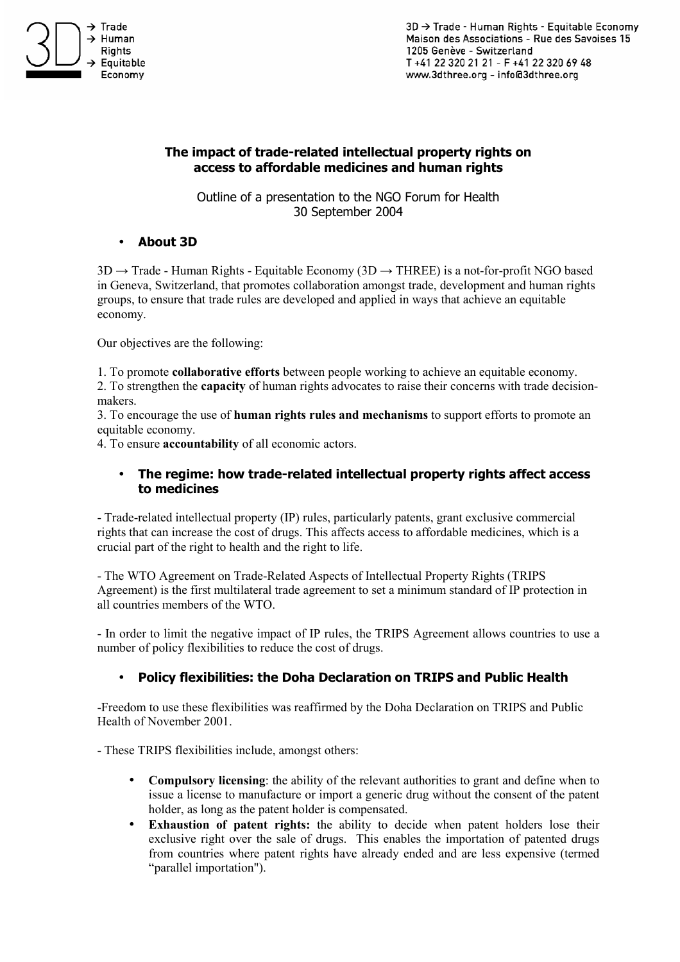

3D → Trade - Human Rights - Equitable Economy Maison des Associations - Rue des Savoises 15 1205 Genève - Switzerland T+41 22 320 21 21 - F+41 22 320 69 48 www.3dthree.org - info@3dthree.org

# **The impact of trade-related intellectual property rights on access to affordable medicines and human rights**

Outline of a presentation to the NGO Forum for Health 30 September 2004

# • **About 3D**

 $3D \rightarrow Trade$  - Human Rights - Equitable Economy (3D  $\rightarrow$  THREE) is a not-for-profit NGO based in Geneva, Switzerland, that promotes collaboration amongst trade, development and human rights groups, to ensure that trade rules are developed and applied in ways that achieve an equitable economy.

Our objectives are the following:

1. To promote **collaborative efforts** between people working to achieve an equitable economy.

2. To strengthen the **capacity** of human rights advocates to raise their concerns with trade decisionmakers.

3. To encourage the use of **human rights rules and mechanisms** to support efforts to promote an equitable economy.

4. To ensure **accountability** of all economic actors.

### • **The regime: how trade-related intellectual property rights affect access to medicines**

- Trade-related intellectual property (IP) rules, particularly patents, grant exclusive commercial rights that can increase the cost of drugs. This affects access to affordable medicines, which is a crucial part of the right to health and the right to life.

- The WTO Agreement on Trade-Related Aspects of Intellectual Property Rights (TRIPS Agreement) is the first multilateral trade agreement to set a minimum standard of IP protection in all countries members of the WTO.

- In order to limit the negative impact of IP rules, the TRIPS Agreement allows countries to use a number of policy flexibilities to reduce the cost of drugs.

# • **Policy flexibilities: the Doha Declaration on TRIPS and Public Health**

-Freedom to use these flexibilities was reaffirmed by the Doha Declaration on TRIPS and Public Health of November 2001.

- These TRIPS flexibilities include, amongst others:

- **Compulsory licensing**: the ability of the relevant authorities to grant and define when to issue a license to manufacture or import a generic drug without the consent of the patent holder, as long as the patent holder is compensated.
- **Exhaustion of patent rights:** the ability to decide when patent holders lose their exclusive right over the sale of drugs. This enables the importation of patented drugs from countries where patent rights have already ended and are less expensive (termed "parallel importation").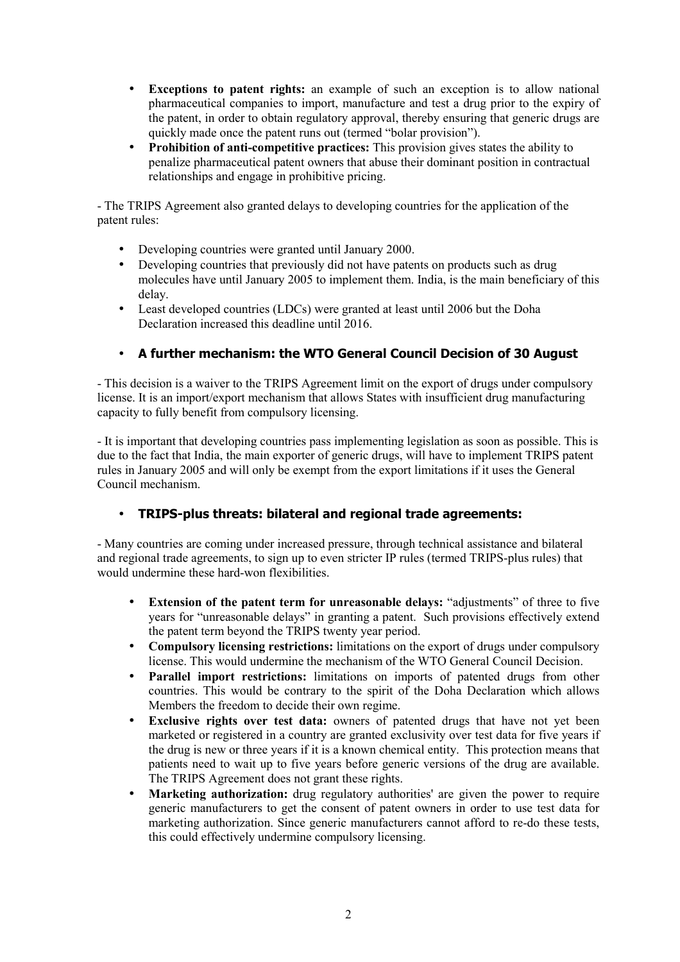- **Exceptions to patent rights:** an example of such an exception is to allow national pharmaceutical companies to import, manufacture and test a drug prior to the expiry of the patent, in order to obtain regulatory approval, thereby ensuring that generic drugs are quickly made once the patent runs out (termed "bolar provision").
- **Prohibition of anti-competitive practices:** This provision gives states the ability to penalize pharmaceutical patent owners that abuse their dominant position in contractual relationships and engage in prohibitive pricing.

- The TRIPS Agreement also granted delays to developing countries for the application of the patent rules:

- Developing countries were granted until January 2000.
- Developing countries that previously did not have patents on products such as drug molecules have until January 2005 to implement them. India, is the main beneficiary of this delay.
- Least developed countries (LDCs) were granted at least until 2006 but the Doha Declaration increased this deadline until 2016.

# • **A further mechanism: the WTO General Council Decision of 30 August**

- This decision is a waiver to the TRIPS Agreement limit on the export of drugs under compulsory license. It is an import/export mechanism that allows States with insufficient drug manufacturing capacity to fully benefit from compulsory licensing.

- It is important that developing countries pass implementing legislation as soon as possible. This is due to the fact that India, the main exporter of generic drugs, will have to implement TRIPS patent rules in January 2005 and will only be exempt from the export limitations if it uses the General Council mechanism.

# • **TRIPS-plus threats: bilateral and regional trade agreements:**

- Many countries are coming under increased pressure, through technical assistance and bilateral and regional trade agreements, to sign up to even stricter IP rules (termed TRIPS-plus rules) that would undermine these hard-won flexibilities.

- **Extension of the patent term for unreasonable delays:** "adjustments" of three to five years for "unreasonable delays" in granting a patent. Such provisions effectively extend the patent term beyond the TRIPS twenty year period.
- **Compulsory licensing restrictions:** limitations on the export of drugs under compulsory license. This would undermine the mechanism of the WTO General Council Decision.
- **Parallel import restrictions:** limitations on imports of patented drugs from other countries. This would be contrary to the spirit of the Doha Declaration which allows Members the freedom to decide their own regime.
- **Exclusive rights over test data:** owners of patented drugs that have not yet been marketed or registered in a country are granted exclusivity over test data for five years if the drug is new or three years if it is a known chemical entity. This protection means that patients need to wait up to five years before generic versions of the drug are available. The TRIPS Agreement does not grant these rights.
- **Marketing authorization:** drug regulatory authorities' are given the power to require generic manufacturers to get the consent of patent owners in order to use test data for marketing authorization. Since generic manufacturers cannot afford to re-do these tests, this could effectively undermine compulsory licensing.